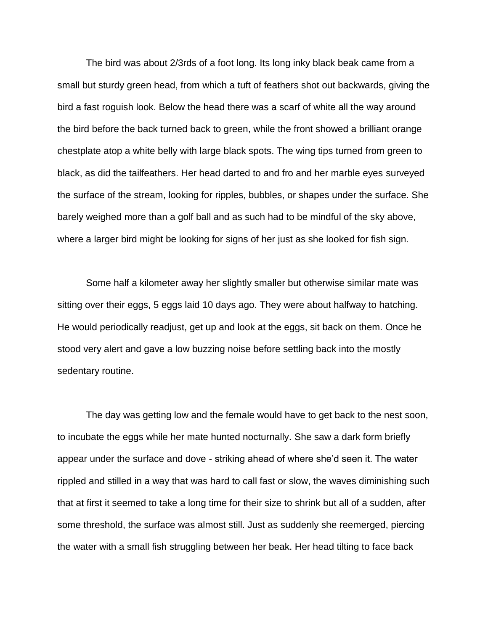The bird was about 2/3rds of a foot long. Its long inky black beak came from a small but sturdy green head, from which a tuft of feathers shot out backwards, giving the bird a fast roguish look. Below the head there was a scarf of white all the way around the bird before the back turned back to green, while the front showed a brilliant orange chestplate atop a white belly with large black spots. The wing tips turned from green to black, as did the tailfeathers. Her head darted to and fro and her marble eyes surveyed the surface of the stream, looking for ripples, bubbles, or shapes under the surface. She barely weighed more than a golf ball and as such had to be mindful of the sky above, where a larger bird might be looking for signs of her just as she looked for fish sign.

Some half a kilometer away her slightly smaller but otherwise similar mate was sitting over their eggs, 5 eggs laid 10 days ago. They were about halfway to hatching. He would periodically readjust, get up and look at the eggs, sit back on them. Once he stood very alert and gave a low buzzing noise before settling back into the mostly sedentary routine.

The day was getting low and the female would have to get back to the nest soon, to incubate the eggs while her mate hunted nocturnally. She saw a dark form briefly appear under the surface and dove - striking ahead of where she'd seen it. The water rippled and stilled in a way that was hard to call fast or slow, the waves diminishing such that at first it seemed to take a long time for their size to shrink but all of a sudden, after some threshold, the surface was almost still. Just as suddenly she reemerged, piercing the water with a small fish struggling between her beak. Her head tilting to face back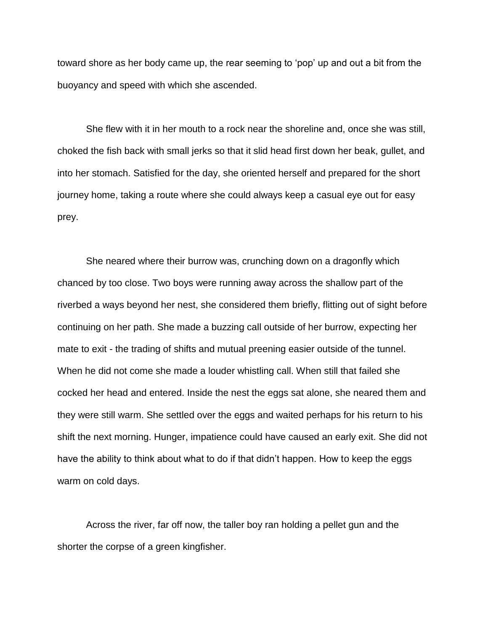toward shore as her body came up, the rear seeming to 'pop' up and out a bit from the buoyancy and speed with which she ascended.

She flew with it in her mouth to a rock near the shoreline and, once she was still, choked the fish back with small jerks so that it slid head first down her beak, gullet, and into her stomach. Satisfied for the day, she oriented herself and prepared for the short journey home, taking a route where she could always keep a casual eye out for easy prey.

She neared where their burrow was, crunching down on a dragonfly which chanced by too close. Two boys were running away across the shallow part of the riverbed a ways beyond her nest, she considered them briefly, flitting out of sight before continuing on her path. She made a buzzing call outside of her burrow, expecting her mate to exit - the trading of shifts and mutual preening easier outside of the tunnel. When he did not come she made a louder whistling call. When still that failed she cocked her head and entered. Inside the nest the eggs sat alone, she neared them and they were still warm. She settled over the eggs and waited perhaps for his return to his shift the next morning. Hunger, impatience could have caused an early exit. She did not have the ability to think about what to do if that didn't happen. How to keep the eggs warm on cold days.

Across the river, far off now, the taller boy ran holding a pellet gun and the shorter the corpse of a green kingfisher.